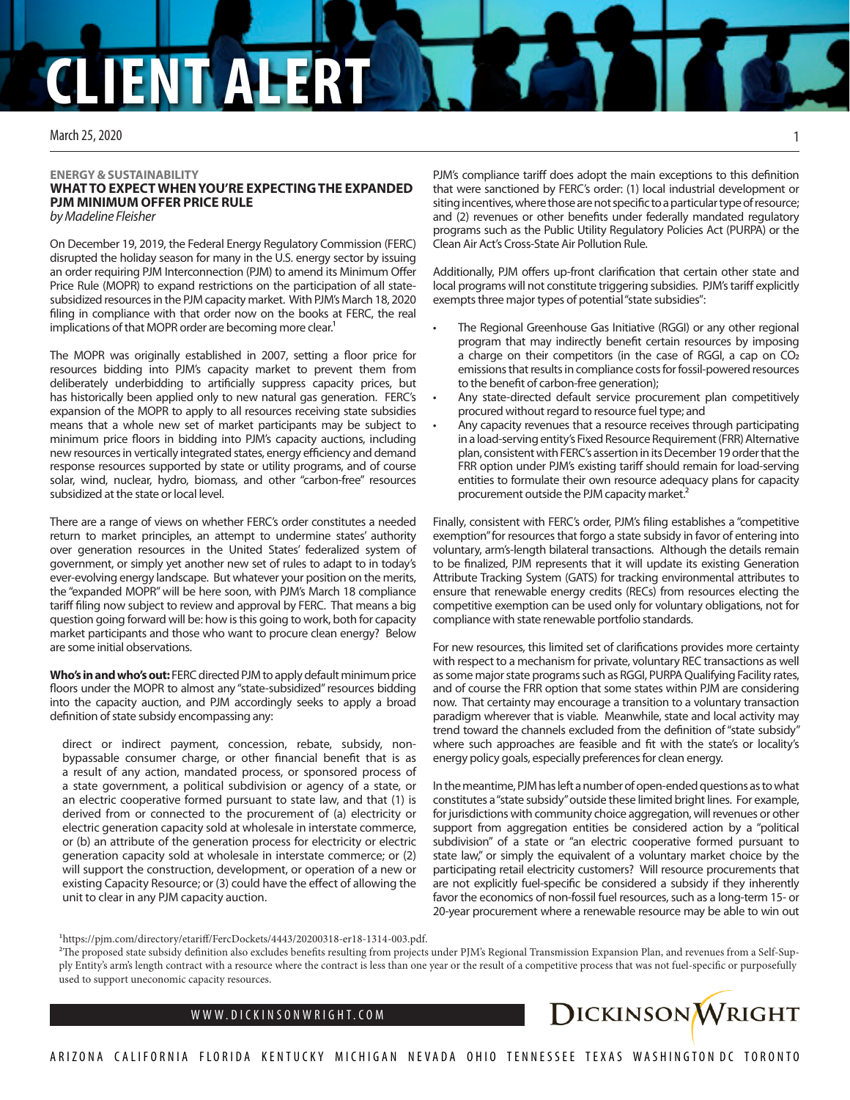# **CLIENT ALERT**

March 25, 2020

### **ENERGY & SUSTAINABILITY WHAT TO EXPECT WHEN YOU'RE EXPECTING THE EXPANDED PJM MINIMUM OFFER PRICE RULE** *by Madeline Fleisher*

On December 19, 2019, the Federal Energy Regulatory Commission (FERC) disrupted the holiday season for many in the U.S. energy sector by issuing an order requiring PJM Interconnection (PJM) to amend its Minimum Offer Price Rule (MOPR) to expand restrictions on the participation of all statesubsidized resources in the PJM capacity market. With PJM's March 18, 2020 filing in compliance with that order now on the books at FERC, the real implications of that MOPR order are becoming more clear.<sup>1</sup>

The MOPR was originally established in 2007, setting a floor price for resources bidding into PJM's capacity market to prevent them from deliberately underbidding to artificially suppress capacity prices, but has historically been applied only to new natural gas generation. FERC's expansion of the MOPR to apply to all resources receiving state subsidies means that a whole new set of market participants may be subject to minimum price floors in bidding into PJM's capacity auctions, including new resources in vertically integrated states, energy efficiency and demand response resources supported by state or utility programs, and of course solar, wind, nuclear, hydro, biomass, and other "carbon-free" resources subsidized at the state or local level.

There are a range of views on whether FERC's order constitutes a needed return to market principles, an attempt to undermine states' authority over generation resources in the United States' federalized system of government, or simply yet another new set of rules to adapt to in today's ever-evolving energy landscape. But whatever your position on the merits, the "expanded MOPR" will be here soon, with PJM's March 18 compliance tariff filing now subject to review and approval by FERC. That means a big question going forward will be: how is this going to work, both for capacity market participants and those who want to procure clean energy? Below are some initial observations.

**Who's in and who's out:** FERC directed PJM to apply default minimum price floors under the MOPR to almost any "state-subsidized" resources bidding into the capacity auction, and PJM accordingly seeks to apply a broad definition of state subsidy encompassing any:

direct or indirect payment, concession, rebate, subsidy, nonbypassable consumer charge, or other financial benefit that is as a result of any action, mandated process, or sponsored process of a state government, a political subdivision or agency of a state, or an electric cooperative formed pursuant to state law, and that (1) is derived from or connected to the procurement of (a) electricity or electric generation capacity sold at wholesale in interstate commerce, or (b) an attribute of the generation process for electricity or electric generation capacity sold at wholesale in interstate commerce; or (2) will support the construction, development, or operation of a new or existing Capacity Resource; or (3) could have the effect of allowing the unit to clear in any PJM capacity auction.

PJM's compliance tariff does adopt the main exceptions to this definition that were sanctioned by FERC's order: (1) local industrial development or siting incentives, where those are not specific to a particular type of resource; and (2) revenues or other benefits under federally mandated regulatory programs such as the Public Utility Regulatory Policies Act (PURPA) or the Clean Air Act's Cross-State Air Pollution Rule.

Additionally, PJM offers up-front clarification that certain other state and local programs will not constitute triggering subsidies. PJM's tariff explicitly exempts three major types of potential "state subsidies":

- The Regional Greenhouse Gas Initiative (RGGI) or any other regional program that may indirectly benefit certain resources by imposing a charge on their competitors (in the case of RGGI, a cap on CO<sub>2</sub> emissions that results in compliance costs for fossil-powered resources to the benefit of carbon-free generation);
- Any state-directed default service procurement plan competitively procured without regard to resource fuel type; and
- Any capacity revenues that a resource receives through participating in a load-serving entity's Fixed Resource Requirement (FRR) Alternative plan, consistent with FERC's assertion in its December 19 order that the FRR option under PJM's existing tariff should remain for load-serving entities to formulate their own resource adequacy plans for capacity procurement outside the PJM capacity market.<sup>2</sup>

Finally, consistent with FERC's order, PJM's filing establishes a "competitive exemption" for resources that forgo a state subsidy in favor of entering into voluntary, arm's-length bilateral transactions. Although the details remain to be finalized, PJM represents that it will update its existing Generation Attribute Tracking System (GATS) for tracking environmental attributes to ensure that renewable energy credits (RECs) from resources electing the competitive exemption can be used only for voluntary obligations, not for compliance with state renewable portfolio standards.

For new resources, this limited set of clarifications provides more certainty with respect to a mechanism for private, voluntary REC transactions as well as some major state programs such as RGGI, PURPA Qualifying Facility rates, and of course the FRR option that some states within PJM are considering now. That certainty may encourage a transition to a voluntary transaction paradigm wherever that is viable. Meanwhile, state and local activity may trend toward the channels excluded from the definition of "state subsidy" where such approaches are feasible and fit with the state's or locality's energy policy goals, especially preferences for clean energy.

In the meantime, PJM has left a number of open-ended questions as to what constitutes a "state subsidy" outside these limited bright lines. For example, for jurisdictions with community choice aggregation, will revenues or other support from aggregation entities be considered action by a "political subdivision" of a state or "an electric cooperative formed pursuant to state law," or simply the equivalent of a voluntary market choice by the participating retail electricity customers? Will resource procurements that are not explicitly fuel-specific be considered a subsidy if they inherently favor the economics of non-fossil fuel resources, such as a long-term 15- or 20-year procurement where a renewable resource may be able to win out

1https://pjm.com/directory/etariff/FercDockets/4443/20200318-er18-1314-003.pdf.

2The proposed state subsidy definition also excludes benefits resulting from projects under PJM's Regional Transmission Expansion Plan, and revenues from a Self-Supply Entity's arm's length contract with a resource where the contract is less than one year or the result of a competitive process that was not fuel-specific or purposefully used to support uneconomic capacity resources.



1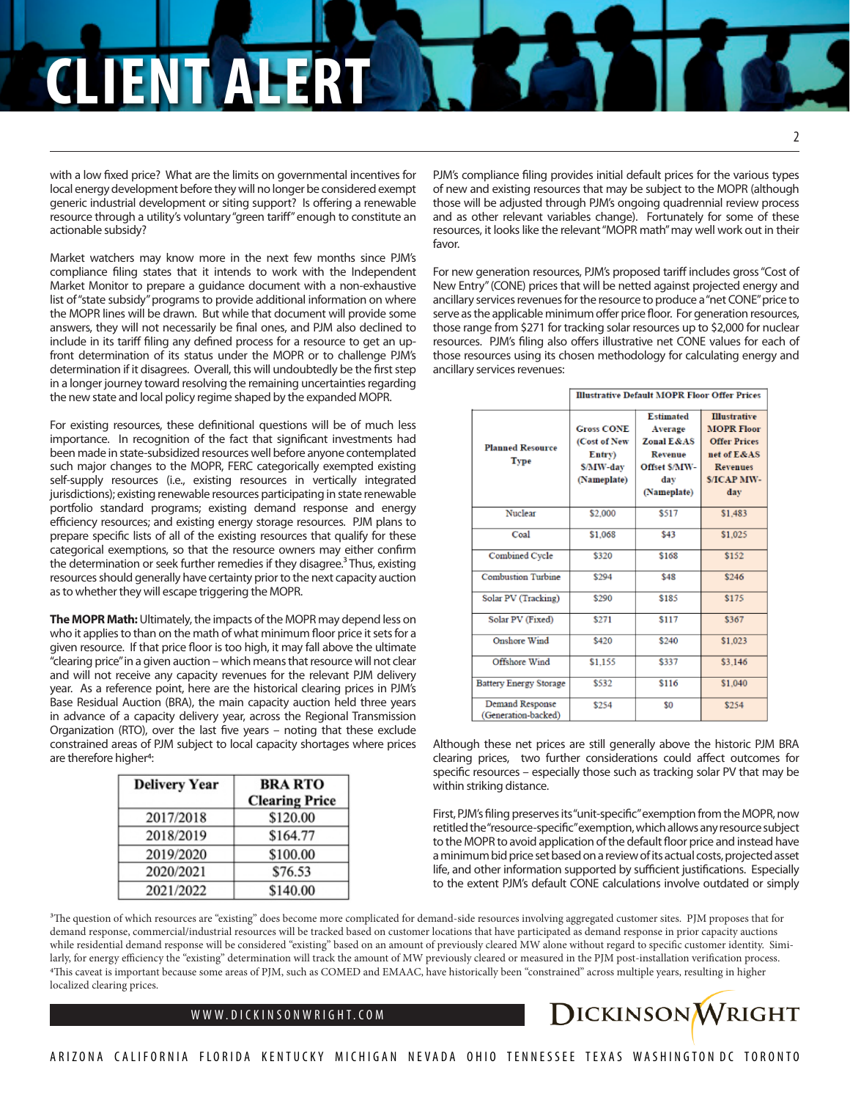## **CLIENT ALERT**

with a low fixed price? What are the limits on governmental incentives for local energy development before they will no longer be considered exempt generic industrial development or siting support? Is offering a renewable resource through a utility's voluntary "green tariff" enough to constitute an actionable subsidy?

Market watchers may know more in the next few months since PJM's compliance filing states that it intends to work with the Independent Market Monitor to prepare a guidance document with a non-exhaustive list of "state subsidy" programs to provide additional information on where the MOPR lines will be drawn. But while that document will provide some answers, they will not necessarily be final ones, and PJM also declined to include in its tariff filing any defined process for a resource to get an upfront determination of its status under the MOPR or to challenge PJM's determination if it disagrees. Overall, this will undoubtedly be the first step in a longer journey toward resolving the remaining uncertainties regarding the new state and local policy regime shaped by the expanded MOPR.

For existing resources, these definitional questions will be of much less importance. In recognition of the fact that significant investments had been made in state-subsidized resources well before anyone contemplated such major changes to the MOPR, FERC categorically exempted existing self-supply resources (i.e., existing resources in vertically integrated jurisdictions); existing renewable resources participating in state renewable portfolio standard programs; existing demand response and energy efficiency resources; and existing energy storage resources. PJM plans to prepare specific lists of all of the existing resources that qualify for these categorical exemptions, so that the resource owners may either confirm the determination or seek further remedies if they disagree.<sup>3</sup> Thus, existing resources should generally have certainty prior to the next capacity auction as to whether they will escape triggering the MOPR.

**The MOPR Math:** Ultimately, the impacts of the MOPR may depend less on who it applies to than on the math of what minimum floor price it sets for a given resource. If that price floor is too high, it may fall above the ultimate "clearing price" in a given auction – which means that resource will not clear and will not receive any capacity revenues for the relevant PJM delivery year. As a reference point, here are the historical clearing prices in PJM's Base Residual Auction (BRA), the main capacity auction held three years in advance of a capacity delivery year, across the Regional Transmission Organization (RTO), over the last five years – noting that these exclude constrained areas of PJM subject to local capacity shortages where prices are therefore higher<sup>4</sup>:

| <b>Delivery Year</b> | <b>BRA RTO</b><br><b>Clearing Price</b> |  |
|----------------------|-----------------------------------------|--|
| 2017/2018            | \$120.00                                |  |
| 2018/2019            | \$164.77                                |  |
| 2019/2020            | \$100.00                                |  |
| 2020/2021            | \$76.53                                 |  |
| 2021/2022            | \$140.00                                |  |

PJM's compliance filing provides initial default prices for the various types of new and existing resources that may be subject to the MOPR (although those will be adjusted through PJM's ongoing quadrennial review process and as other relevant variables change). Fortunately for some of these resources, it looks like the relevant "MOPR math" may well work out in their favor.

For new generation resources, PJM's proposed tariff includes gross "Cost of New Entry" (CONE) prices that will be netted against projected energy and ancillary services revenues for the resource to produce a "net CONE" price to serve as the applicable minimum offer price floor. For generation resources, those range from \$271 for tracking solar resources up to \$2,000 for nuclear resources. PJM's filing also offers illustrative net CONE values for each of those resources using its chosen methodology for calculating energy and ancillary services revenues:

|                                        | <b>Illustrative Default MOPR Floor Offer Prices</b> |                             |                                          |
|----------------------------------------|-----------------------------------------------------|-----------------------------|------------------------------------------|
|                                        |                                                     |                             |                                          |
| <b>Planned Resource</b><br><b>Type</b> | <b>Gross CONE</b>                                   | <b>Estimated</b><br>Average | <b>Illustrative</b><br><b>MOPR Floor</b> |
|                                        | (Cost of New                                        | <b>Zonal E&amp;AS</b>       | <b>Offer Prices</b>                      |
|                                        | Entry)                                              | <b>Revenue</b>              | net of E&AS                              |
|                                        | <b>S/MW-day</b>                                     | Offset S/MW-                | <b>Revenues</b>                          |
|                                        | (Nameplate)                                         | day                         | <b>S/ICAP MW-</b>                        |
|                                        |                                                     | (Nameplate)                 | day                                      |
|                                        |                                                     |                             |                                          |
| Nuclear                                | \$2,000                                             | \$517                       | \$1.483                                  |
| Coal                                   | \$1.068                                             | \$43                        | \$1.025                                  |
| Combined Cycle                         | \$320                                               | \$168                       | \$152                                    |
| <b>Combustion Turbine</b>              | \$294                                               | \$48                        | \$246                                    |
| Solar PV (Tracking)                    | \$290                                               | \$185                       | \$175                                    |
| Solar PV (Fixed)                       | \$271                                               | \$117                       | \$367                                    |
| <b>Onshore Wind</b>                    | \$420                                               | \$240                       | \$1,023                                  |
| Offshore Wind                          | \$1.155                                             | \$337                       | \$3.146                                  |
| <b>Battery Energy Storage</b>          | \$532                                               | \$116                       | \$1,040                                  |
| Demand Response<br>(Generation-backed) | \$254                                               | \$0                         | \$254                                    |

Although these net prices are still generally above the historic PJM BRA clearing prices, two further considerations could affect outcomes for specific resources – especially those such as tracking solar PV that may be within striking distance.

First, PJM's filing preserves its "unit-specific" exemption from the MOPR, now retitled the "resource-specific" exemption, which allows any resource subject to the MOPR to avoid application of the default floor price and instead have a minimum bid price set based on a review of its actual costs, projected asset life, and other information supported by sufficient justifications. Especially to the extent PJM's default CONE calculations involve outdated or simply

<sup>3</sup>The question of which resources are "existing" does become more complicated for demand-side resources involving aggregated customer sites. PJM proposes that for demand response, commercial/industrial resources will be tracked based on customer locations that have participated as demand response in prior capacity auctions while residential demand response will be considered "existing" based on an amount of previously cleared MW alone without regard to specific customer identity. Similarly, for energy efficiency the "existing" determination will track the amount of MW previously cleared or measured in the PJM post-installation verification process. 4This caveat is important because some areas of PJM, such as COMED and EMAAC, have historically been "constrained" across multiple years, resulting in higher localized clearing prices.